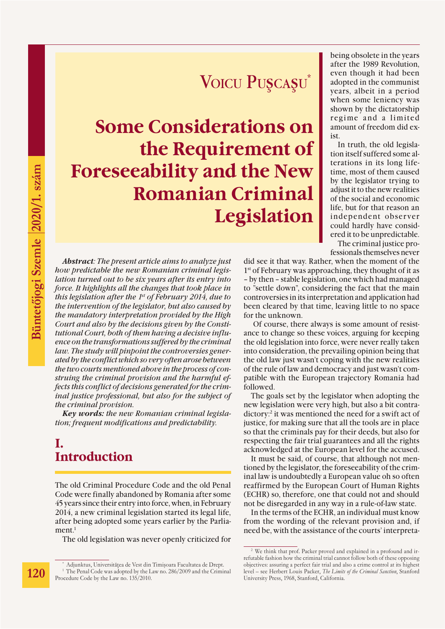# Voicu Puşcaşu<sup>\*</sup>

**Some Considerations on the Requirement of Foreseeability and the New Romanian Criminal Legislation** 

*Abstract: The present article aims to analyze just how predictable the new Romanian criminal legislation turned out to be six years after its entry into force. It highlights all the changes that took place in this legislation after the 1st of February 2014, due to the intervention of the legislator, but also caused by the mandatory interpretation provided by the High Court and also by the decisions given by the Constitutional Court, both of them having a decisive influence on the transformations suffered by the criminal law. The study will pinpoint the controversies generated by the conflict which so very often arose between the two courts mentioned above in the process of construing the criminal provision and the harmful effects this conflict of decisions generated for the criminal justice professional, but also for the subject of the criminal provision.* 

*Key words: the new Romanian criminal legislation; frequent modifications and predictability.* 

# **I. Introduction**

The old Criminal Procedure Code and the old Penal Code were finally abandoned by Romania after some 45 years since their entry into force, when, in February 2014, a new criminal legislation started its legal life, after being adopted some years earlier by the Parlia $ment.<sup>1</sup>$ 

The old legislation was never openly criticized for

being obsolete in the years after the 1989 Revolution, even though it had been adopted in the communist years, albeit in a period when some leniency was shown by the dictatorship regime and a limited amount of freedom did exist.

In truth, the old legislation itself suffered some alterations in its long lifetime, most of them caused by the legislator trying to adjust it to the new realities of the social and economic life, but for that reason an independent observer could hardly have considered it to be unpredictable. The criminal justice pro-

fessionals themselves never

did see it that way. Rather, when the moment of the 1<sup>st</sup> of February was approaching, they thought of it as – by then – stable legislation, one which had managed to "settle down", considering the fact that the main controversies in its interpretation and application had been cleared by that time, leaving little to no space for the unknown.

 Of course, there always is some amount of resistance to change so these voices, arguing for keeping the old legislation into force, were never really taken into consideration, the prevailing opinion being that the old law just wasn't coping with the new realities of the rule of law and democracy and just wasn't compatible with the European trajectory Romania had followed.

The goals set by the legislator when adopting the new legislation were very high, but also a bit contradictory:2 it was mentioned the need for a swift act of justice, for making sure that all the tools are in place so that the criminals pay for their deeds, but also for respecting the fair trial guarantees and all the rights acknowledged at the European level for the accused.

It must be said, of course, that although not mentioned by the legislator, the foreseeability of the criminal law is undoubtedly a European value oh so often reaffirmed by the European Court of Human Rights (ECHR) so, therefore, one that could not and should not be disregarded in any way in a rule-of-law state.

In the terms of the ECHR, an individual must know from the wording of the relevant provision and, if need be, with the assistance of the courts' interpreta-

Adjunktus, Universitățea de Vest din Timișoara Facultatea de Drept. <sup>1</sup> The Penal Code was adopted by the Law no. 286/2009 and the Criminal Procedure Code by the Law no. 135/2010.

<sup>&</sup>lt;sup>2</sup> We think that prof. Packer proved and explained in a profound and irrefutable fashion how the criminal trial cannot follow both of these opposing objectives: assuring a perfect fair trial and also a crime control at its highest level – see Herbert Louis Packer, *The Limits of the Criminal Sanction*, Stanford University Press, 1968, Stanford, California.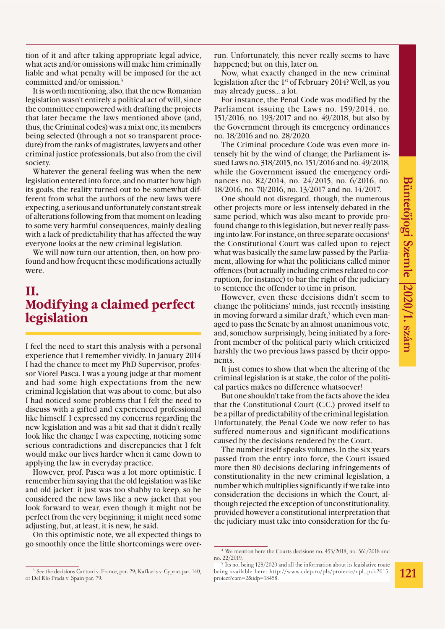tion of it and after taking appropriate legal advice, what acts and/or omissions will make him criminally liable and what penalty will be imposed for the act committed and/or omission.3

It is worth mentioning, also, that the new Romanian legislation wasn't entirely a political act of will, since the committee empowered with drafting the projects that later became the laws mentioned above (and, thus, the Criminal codes) was a mixt one, its members being selected (through a not so transparent procedure) from the ranks of magistrates, lawyers and other criminal justice professionals, but also from the civil society.

Whatever the general feeling was when the new legislation entered into force, and no matter how high its goals, the reality turned out to be somewhat different from what the authors of the new laws were expecting, a serious and unfortunately constant streak of alterations following from that moment on leading to some very harmful consequences, mainly dealing with a lack of predictability that has affected the way everyone looks at the new criminal legislation.

We will now turn our attention, then, on how profound and how frequent these modifications actually were.

#### **II. Modifying a claimed perfect legislation**

I feel the need to start this analysis with a personal experience that I remember vividly. In January 2014 I had the chance to meet my PhD Supervisor, professor Viorel Pasca. I was a young judge at that moment and had some high expectations from the new criminal legislation that was about to come, but also I had noticed some problems that I felt the need to discuss with a gifted and experienced professional like himself. I expressed my concerns regarding the new legislation and was a bit sad that it didn't really look like the change I was expecting, noticing some serious contradictions and discrepancies that I felt would make our lives harder when it came down to applying the law in everyday practice.

However, prof. Pasca was a lot more optimistic. I remember him saying that the old legislation was like and old jacket: it just was too shabby to keep, so he considered the new laws like a new jacket that you look forward to wear, even though it might not be perfect from the very beginning; it might need some adjusting, but, at least, it is new, he said.

On this optimistic note, we all expected things to go smoothly once the little shortcomings were overrun. Unfortunately, this never really seems to have happened; but on this, later on.

Now, what exactly changed in the new criminal legislation after the 1st of February 2014? Well, as you may already guess… a lot.

For instance, the Penal Code was modified by the Parliament issuing the Laws no. 159/2014, no. 151/2016, no. 193/2017 and no. 49/2018, but also by the Government through its emergency ordinances no. 18/2016 and no. 28/2020.

The Criminal procedure Code was even more intensely hit by the wind of change; the Parliament issued Laws no. 318/2015, no. 151/2016 and no. 49/2018, while the Government issued the emergency ordinances no. 82/2014, no. 24/2015, no. 6/2016, no. 18/2016, no. 70/2016, no. 13/2017 and no. 14/2017.

One should not disregard, though, the numerous other projects more or less intensely debated in the same period, which was also meant to provide profound change to this legislation, but never really passing into law. For instance, on three separate occasions<sup>4</sup> the Constitutional Court was called upon to reject what was basically the same law passed by the Parliament, allowing for what the politicians called minor offences (but actually including crimes related to corruption, for instance) to bar the right of the judiciary to sentence the offender to time in prison.

However, even these decisions didn't seem to change the politicians' minds, just recently insisting in moving forward a similar draft,<sup>5</sup> which even managed to pass the Senate by an almost unanimous vote, and, somehow surprisingly, being initiated by a forefront member of the political party which criticized harshly the two previous laws passed by their opponents.

It just comes to show that when the altering of the criminal legislation is at stake, the color of the political parties makes no difference whatsoever!

But one shouldn't take from the facts above the idea that the Constitutional Court (C.C.) proved itself to be a pillar of predictability of the criminal legislation. Unfortunately, the Penal Code we now refer to has suffered numerous and significant modifications caused by the decisions rendered by the Court.

The number itself speaks volumes. In the six years passed from the entry into force, the Court issued more then 80 decisions declaring infringements of constitutionality in the new criminal legislation, a number which multiplies significantly if we take into consideration the decisions in which the Court, although rejected the exception of unconstitutionality, provided however a constitutional interpretation that the judiciary must take into consideration for the fu-

<sup>3</sup> See the decisions Cantoni v. France, par. 29; Kafkaris v. Cyprus par. 140, or Del Río Prada v. Spain par. 79.

<sup>4</sup> We mention here the Courts decisions no. 453/2018, no. 561/2018 and no. 22/2019.

Its no. being 128/2020 and all the information about its legislative route being available here: http://www.cdep.ro/pls/proiecte/upl\_pck2015. proiect?cam=2&idp=18458.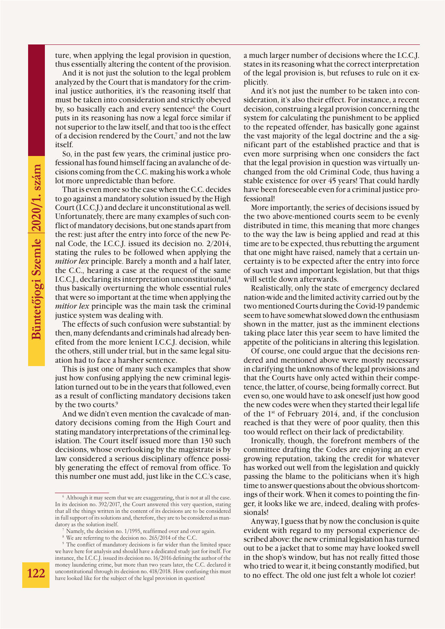ture, when applying the legal provision in question, thus essentially altering the content of the provision.

And it is not just the solution to the legal problem analyzed by the Court that is mandatory for the criminal justice authorities, it's the reasoning itself that must be taken into consideration and strictly obeyed by, so basically each and every sentence<sup>6</sup> the Court puts in its reasoning has now a legal force similar if not superior to the law itself, and that too is the effect of a decision rendered by the Court,<sup>7</sup> and not the law itself.

So, in the past few years, the criminal justice professional has found himself facing an avalanche of decisions coming from the C.C. making his work a whole lot more unpredictable than before.

That is even more so the case when the C.C. decides to go against a mandatory solution issued by the High Court (I.C.C.J.) and declare it unconstitutional as well. Unfortunately, there are many examples of such conflict of mandatory decisions, but one stands apart from the rest: just after the entry into force of the new Penal Code, the I.C.C.J. issued its decision no. 2/2014, stating the rules to be followed when applying the *mitior lex* principle. Barely a month and a half later, the C.C., hearing a case at the request of the same I.C.C.J., declaring its interpretation unconstitutional,8 thus basically overturning the whole essential rules that were so important at the time when applying the *mitior lex* principle was the main task the criminal justice system was dealing with.

The effects of such confusion were substantial: by then, many defendants and criminals had already benefited from the more lenient I.C.C.J. decision, while the others, still under trial, but in the same legal situation had to face a harsher sentence.

This is just one of many such examples that show just how confusing applying the new criminal legislation turned out to be in the years that followed, even as a result of conflicting mandatory decisions taken by the two courts.<sup>9</sup>

And we didn't even mention the cavalcade of mandatory decisions coming from the High Court and stating mandatory interpretations of the criminal legislation. The Court itself issued more than 130 such decisions, whose overlooking by the magistrate is by law considered a serious disciplinary offence possibly generating the effect of removal from office. To this number one must add, just like in the C.C.'s case, a much larger number of decisions where the I.C.C.J. states in its reasoning what the correct interpretation of the legal provision is, but refuses to rule on it explicitly.

And it's not just the number to be taken into consideration, it's also their effect. For instance, a recent decision, construing a legal provision concerning the system for calculating the punishment to be applied to the repeated offender, has basically gone against the vast majority of the legal doctrine and the a significant part of the established practice and that is even more surprising when one considers the fact that the legal provision in question was virtually unchanged from the old Criminal Code, thus having a stable existence for over 45 years! That could hardly have been foreseeable even for a criminal justice professional!

More importantly, the series of decisions issued by the two above-mentioned courts seem to be evenly distributed in time, this meaning that more changes to the way the law is being applied and read at this time are to be expected, thus rebutting the argument that one might have raised, namely that a certain uncertainty is to be expected after the entry into force of such vast and important legislation, but that thigs will settle down afterwards.

Realistically, only the state of emergency declared nation-wide and the limited activity carried out by the two mentioned Courts during the Covid-19 pandemic seem to have somewhat slowed down the enthusiasm shown in the matter, just as the imminent elections taking place later this year seem to have limited the appetite of the politicians in altering this legislation.

Of course, one could argue that the decisions rendered and mentioned above were mostly necessary in clarifying the unknowns of the legal provisions and that the Courts have only acted within their competence, the latter, of course, being formally correct. But even so, one would have to ask oneself just how good the new codes were when they started their legal life of the 1st of February 2014, and, if the conclusion reached is that they were of poor quality, then this too would reflect on their lack of predictability.

Ironically, though, the forefront members of the committee drafting the Codes are enjoying an ever growing reputation, taking the credit for whatever has worked out well from the legislation and quickly passing the blame to the politicians when it's high time to answer questions about the obvious shortcomings of their work. When it comes to pointing the finger, it looks like we are, indeed, dealing with professionals!

Anyway, I guess that by now the conclusion is quite evident with regard to my personal experience described above: the new criminal legislation has turned out to be a jacket that to some may have looked swell in the shop's window, but has not really fitted those who tried to wear it, it being constantly modified, but to no effect. The old one just felt a whole lot cozier!

<sup>6</sup> Although it may seem that we are exaggerating, that is not at all the case. In its decision no. 392/2017, the Court answered this very question, stating that all the things written in the content of its decisions are to be considered in full support of its solutions and, therefore, they are to be considered as mandatory as the solution itself.

Namely, the decision no. 1/1995, reaffirmed over and over again.

<sup>8</sup> We are referring to the decision no. 265/2014 of the C.C.

<sup>&</sup>lt;sup>9</sup> The conflict of mandatory decisions is far wider than the limited space we have here for analysis and should have a dedicated study just for itself. For instance, the I.C.C.J. issued its decision no. 16/2016 defining the author of the money laundering crime, but more than two years later, the C.C. declared it unconstitutional through its decision no. 418/2018. How confusing this must have looked like for the subject of the legal provision in question!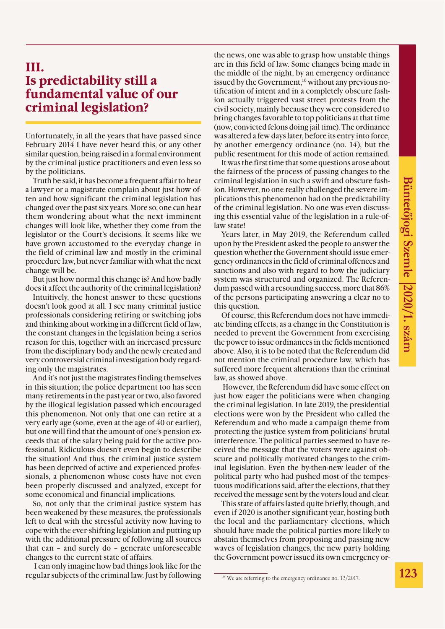## **III. Is predictability still a fundamental value of our criminal legislation?**

Unfortunately, in all the years that have passed since February 2014 I have never heard this, or any other similar question, being raised in a formal environment by the criminal justice practitioners and even less so by the politicians.

Truth be said, it has become a frequent affair to hear a lawyer or a magistrate complain about just how often and how significant the criminal legislation has changed over the past six years. More so, one can hear them wondering about what the next imminent changes will look like, whether they come from the legislator or the Court's decisions. It seems like we have grown accustomed to the everyday change in the field of criminal law and mostly in the criminal procedure law, but never familiar with what the next change will be.

But just how normal this change is? And how badly does it affect the authority of the criminal legislation?

Intuitively, the honest answer to these questions doesn't look good at all. I see many criminal justice professionals considering retiring or switching jobs and thinking about working in a different field of law, the constant changes in the legislation being a serios reason for this, together with an increased pressure from the disciplinary body and the newly created and very controversial criminal investigation body regarding only the magistrates.

And it's not just the magistrates finding themselves in this situation; the police department too has seen many retirements in the past year or two, also favored by the illogical legislation passed which encouraged this phenomenon. Not only that one can retire at a very early age (some, even at the age of 40 or earlier), but one will find that the amount of one's pension exceeds that of the salary being paid for the active professional. Ridiculous doesn't even begin to describe the situation! And thus, the criminal justice system has been deprived of active and experienced professionals, a phenomenon whose costs have not even been properly discussed and analyzed, except for some economical and financial implications.

So, not only that the criminal justice system has been weakened by these measures, the professionals left to deal with the stressful activity now having to cope with the ever-shifting legislation and putting up with the additional pressure of following all sources that can – and surely do – generate unforeseeable changes to the current state of affairs.

 I can only imagine how bad things look like for the regular subjects of the criminal law. Just by following the news, one was able to grasp how unstable things are in this field of law. Some changes being made in the middle of the night, by an emergency ordinance issued by the Government,<sup>10</sup> without any previous notification of intent and in a completely obscure fashion actually triggered vast street protests from the civil society, mainly because they were considered to bring changes favorable to top politicians at that time (now, convicted felons doing jail time). The ordinance was altered a few days later, before its entry into force, by another emergency ordinance (no. 14), but the public resentment for this mode of action remained.

It was the first time that some questions arose about the fairness of the process of passing changes to the criminal legislation in such a swift and obscure fashion. However, no one really challenged the severe implications this phenomenon had on the predictability of the criminal legislation. No one was even discussing this essential value of the legislation in a rule-oflaw state!

Years later, in May 2019, the Referendum called upon by the President asked the people to answer the question whether the Government should issue emergency ordinances in the field of criminal offences and sanctions and also with regard to how the judiciary system was structured and organized. The Referendum passed with a resounding success, more that 86% of the persons participating answering a clear no to this question.

Of course, this Referendum does not have immediate binding effects, as a change in the Constitution is needed to prevent the Government from exercising the power to issue ordinances in the fields mentioned above. Also, it is to be noted that the Referendum did not mention the criminal procedure law, which has suffered more frequent alterations than the criminal law, as showed above.

 However, the Referendum did have some effect on just how eager the politicians were when changing the criminal legislation. In late 2019, the presidential elections were won by the President who called the Referendum and who made a campaign theme from protecting the justice system from politicians' brutal interference. The political parties seemed to have received the message that the voters were against obscure and politically motivated changes to the criminal legislation. Even the by-then-new leader of the political party who had pushed most of the tempestuous modifications said, after the elections, that they received the message sent by the voters loud and clear.

This state of affairs lasted quite briefly, though, and even if 2020 is another significant year, hosting both the local and the parliamentary elections, which should have made the political parties more likely to abstain themselves from proposing and passing new waves of legislation changes, the new party holding the Government power issued its own emergency or-

<sup>10</sup> We are referring to the emergency ordinance no. 13/2017.